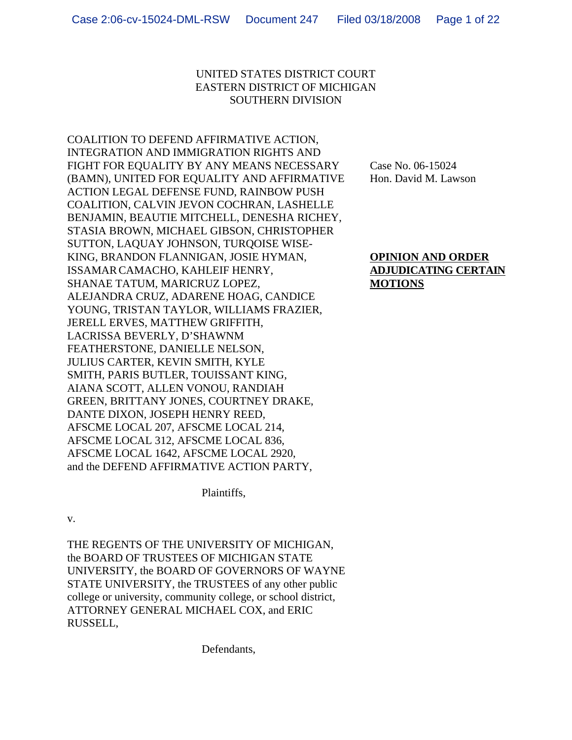# UNITED STATES DISTRICT COURT EASTERN DISTRICT OF MICHIGAN SOUTHERN DIVISION

COALITION TO DEFEND AFFIRMATIVE ACTION, INTEGRATION AND IMMIGRATION RIGHTS AND FIGHT FOR EOUALITY BY ANY MEANS NECESSARY Case No. 06-15024 (BAMN), UNITED FOR EQUALITY AND AFFIRMATIVE Hon. David M. Lawson ACTION LEGAL DEFENSE FUND, RAINBOW PUSH COALITION, CALVIN JEVON COCHRAN, LASHELLE BENJAMIN, BEAUTIE MITCHELL, DENESHA RICHEY, STASIA BROWN, MICHAEL GIBSON, CHRISTOPHER SUTTON, LAQUAY JOHNSON, TURQOISE WISE-KING, BRANDON FLANNIGAN, JOSIE HYMAN, **OPINION AND ORDER** ISSAMAR CAMACHO, KAHLEIF HENRY, **ADJUDICATING CERTAIN** SHANAE TATUM, MARICRUZ LOPEZ, **MOTIONS** ALEJANDRA CRUZ, ADARENE HOAG, CANDICE YOUNG, TRISTAN TAYLOR, WILLIAMS FRAZIER, JERELL ERVES, MATTHEW GRIFFITH, LACRISSA BEVERLY, D'SHAWNM FEATHERSTONE, DANIELLE NELSON, JULIUS CARTER, KEVIN SMITH, KYLE SMITH, PARIS BUTLER, TOUISSANT KING, AIANA SCOTT, ALLEN VONOU, RANDIAH GREEN, BRITTANY JONES, COURTNEY DRAKE, DANTE DIXON, JOSEPH HENRY REED, AFSCME LOCAL 207, AFSCME LOCAL 214, AFSCME LOCAL 312, AFSCME LOCAL 836, AFSCME LOCAL 1642, AFSCME LOCAL 2920, and the DEFEND AFFIRMATIVE ACTION PARTY,

Plaintiffs,

v.

THE REGENTS OF THE UNIVERSITY OF MICHIGAN, the BOARD OF TRUSTEES OF MICHIGAN STATE UNIVERSITY, the BOARD OF GOVERNORS OF WAYNE STATE UNIVERSITY, the TRUSTEES of any other public college or university, community college, or school district, ATTORNEY GENERAL MICHAEL COX, and ERIC RUSSELL,

Defendants,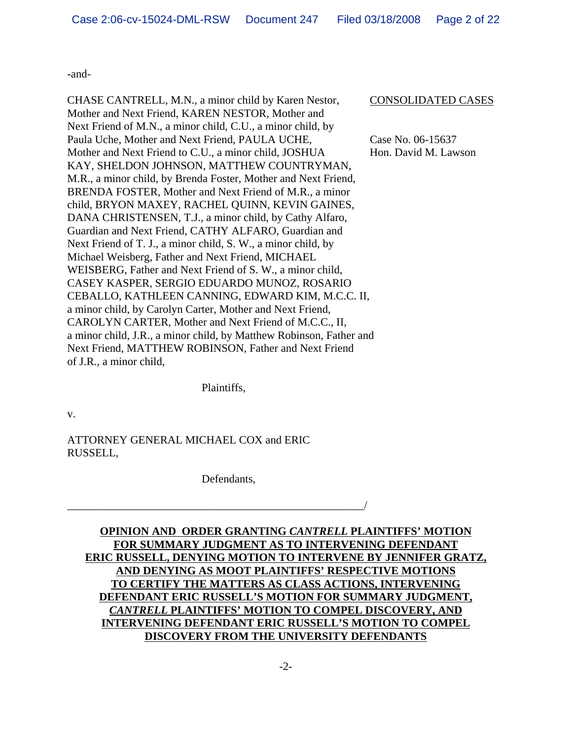-and-

CHASE CANTRELL, M.N., a minor child by Karen Nestor, CONSOLIDATED CASES Mother and Next Friend, KAREN NESTOR, Mother and Next Friend of M.N., a minor child, C.U., a minor child, by Paula Uche, Mother and Next Friend, PAULA UCHE, Case No. 06-15637 Mother and Next Friend to C.U., a minor child, JOSHUA Hon. David M. Lawson KAY, SHELDON JOHNSON, MATTHEW COUNTRYMAN, M.R., a minor child, by Brenda Foster, Mother and Next Friend, BRENDA FOSTER, Mother and Next Friend of M.R., a minor child, BRYON MAXEY, RACHEL QUINN, KEVIN GAINES, DANA CHRISTENSEN, T.J., a minor child, by Cathy Alfaro, Guardian and Next Friend, CATHY ALFARO, Guardian and Next Friend of T. J., a minor child, S. W., a minor child, by Michael Weisberg, Father and Next Friend, MICHAEL WEISBERG, Father and Next Friend of S. W., a minor child, CASEY KASPER, SERGIO EDUARDO MUNOZ, ROSARIO CEBALLO, KATHLEEN CANNING, EDWARD KIM, M.C.C. II, a minor child, by Carolyn Carter, Mother and Next Friend, CAROLYN CARTER, Mother and Next Friend of M.C.C., II, a minor child, J.R., a minor child, by Matthew Robinson, Father and Next Friend, MATTHEW ROBINSON, Father and Next Friend of J.R., a minor child,

Plaintiffs,

v.

ATTORNEY GENERAL MICHAEL COX and ERIC RUSSELL,

Defendants,

\_\_\_\_\_\_\_\_\_\_\_\_\_\_\_\_\_\_\_\_\_\_\_\_\_\_\_\_\_\_\_\_\_\_\_\_\_\_\_\_\_\_\_\_\_\_\_\_\_\_\_\_\_/

**OPINION AND ORDER GRANTING** *CANTRELL* **PLAINTIFFS' MOTION FOR SUMMARY JUDGMENT AS TO INTERVENING DEFENDANT ERIC RUSSELL, DENYING MOTION TO INTERVENE BY JENNIFER GRATZ, AND DENYING AS MOOT PLAINTIFFS' RESPECTIVE MOTIONS TO CERTIFY THE MATTERS AS CLASS ACTIONS, INTERVENING DEFENDANT ERIC RUSSELL'S MOTION FOR SUMMARY JUDGMENT,** *CANTRELL* **PLAINTIFFS' MOTION TO COMPEL DISCOVERY, AND INTERVENING DEFENDANT ERIC RUSSELL'S MOTION TO COMPEL DISCOVERY FROM THE UNIVERSITY DEFENDANTS**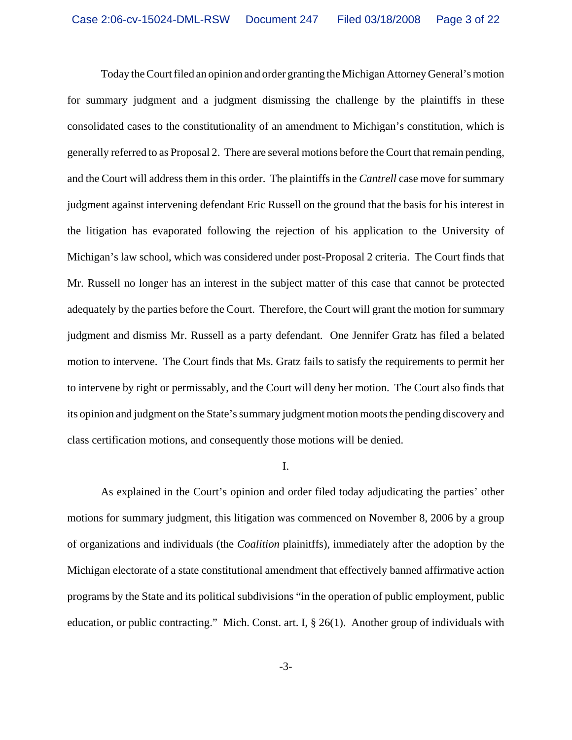Today the Court filed an opinion and order granting the Michigan Attorney General's motion for summary judgment and a judgment dismissing the challenge by the plaintiffs in these consolidated cases to the constitutionality of an amendment to Michigan's constitution, which is generally referred to as Proposal 2. There are several motions before the Court that remain pending, and the Court will address them in this order. The plaintiffs in the *Cantrell* case move for summary judgment against intervening defendant Eric Russell on the ground that the basis for his interest in the litigation has evaporated following the rejection of his application to the University of Michigan's law school, which was considered under post-Proposal 2 criteria. The Court finds that Mr. Russell no longer has an interest in the subject matter of this case that cannot be protected adequately by the parties before the Court. Therefore, the Court will grant the motion for summary judgment and dismiss Mr. Russell as a party defendant. One Jennifer Gratz has filed a belated motion to intervene. The Court finds that Ms. Gratz fails to satisfy the requirements to permit her to intervene by right or permissably, and the Court will deny her motion. The Court also finds that its opinion and judgment on the State's summary judgment motion moots the pending discovery and class certification motions, and consequently those motions will be denied.

### I.

As explained in the Court's opinion and order filed today adjudicating the parties' other motions for summary judgment, this litigation was commenced on November 8, 2006 by a group of organizations and individuals (the *Coalition* plainitffs), immediately after the adoption by the Michigan electorate of a state constitutional amendment that effectively banned affirmative action programs by the State and its political subdivisions "in the operation of public employment, public education, or public contracting." Mich. Const. art. I, § 26(1). Another group of individuals with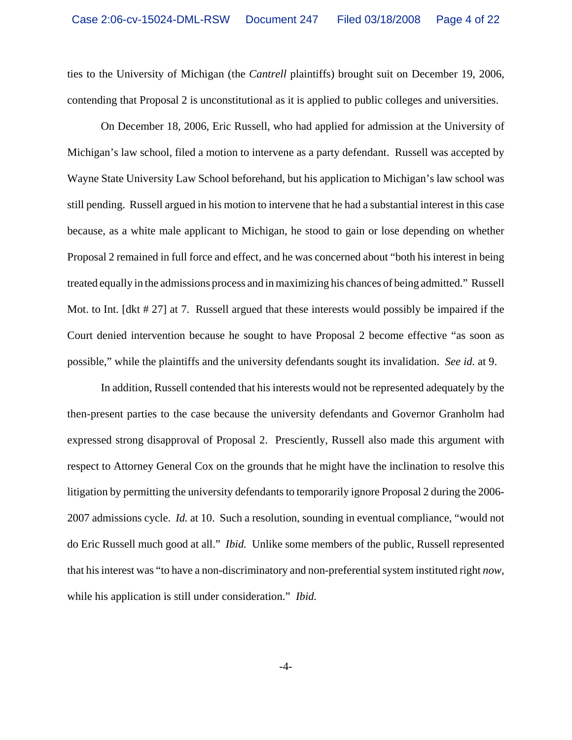ties to the University of Michigan (the *Cantrell* plaintiffs) brought suit on December 19, 2006, contending that Proposal 2 is unconstitutional as it is applied to public colleges and universities.

On December 18, 2006, Eric Russell, who had applied for admission at the University of Michigan's law school, filed a motion to intervene as a party defendant. Russell was accepted by Wayne State University Law School beforehand, but his application to Michigan's law school was still pending. Russell argued in his motion to intervene that he had a substantial interest in this case because, as a white male applicant to Michigan, he stood to gain or lose depending on whether Proposal 2 remained in full force and effect, and he was concerned about "both his interest in being treated equally in the admissions process and in maximizing his chances of being admitted." Russell Mot. to Int. [dkt # 27] at 7. Russell argued that these interests would possibly be impaired if the Court denied intervention because he sought to have Proposal 2 become effective "as soon as possible," while the plaintiffs and the university defendants sought its invalidation. *See id.* at 9.

In addition, Russell contended that his interests would not be represented adequately by the then-present parties to the case because the university defendants and Governor Granholm had expressed strong disapproval of Proposal 2. Presciently, Russell also made this argument with respect to Attorney General Cox on the grounds that he might have the inclination to resolve this litigation by permitting the university defendants to temporarily ignore Proposal 2 during the 2006- 2007 admissions cycle. *Id.* at 10. Such a resolution, sounding in eventual compliance, "would not do Eric Russell much good at all." *Ibid.* Unlike some members of the public, Russell represented that his interest was "to have a non-discriminatory and non-preferential system instituted right *now*, while his application is still under consideration." *Ibid.*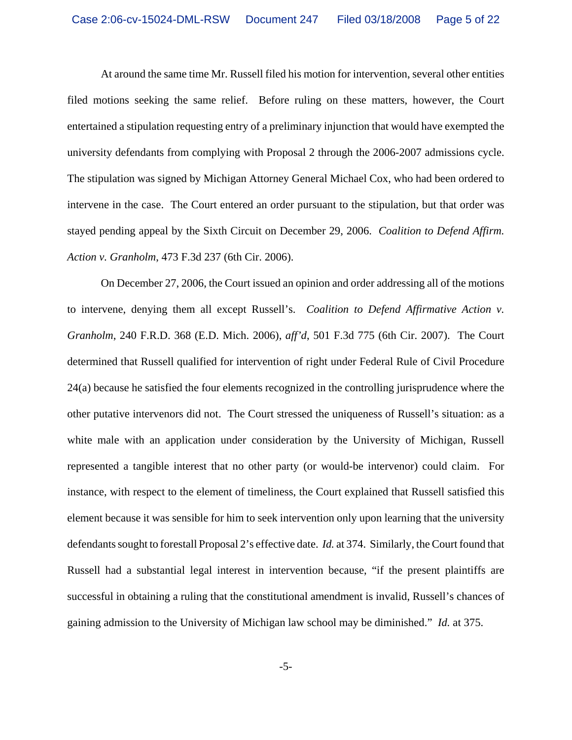At around the same time Mr. Russell filed his motion for intervention, several other entities filed motions seeking the same relief. Before ruling on these matters, however, the Court entertained a stipulation requesting entry of a preliminary injunction that would have exempted the university defendants from complying with Proposal 2 through the 2006-2007 admissions cycle. The stipulation was signed by Michigan Attorney General Michael Cox, who had been ordered to intervene in the case. The Court entered an order pursuant to the stipulation, but that order was stayed pending appeal by the Sixth Circuit on December 29, 2006. *Coalition to Defend Affirm. Action v. Granholm*, 473 F.3d 237 (6th Cir. 2006).

On December 27, 2006, the Court issued an opinion and order addressing all of the motions to intervene, denying them all except Russell's. *Coalition to Defend Affirmative Action v. Granholm*, 240 F.R.D. 368 (E.D. Mich. 2006), *aff'd*, 501 F.3d 775 (6th Cir. 2007). The Court determined that Russell qualified for intervention of right under Federal Rule of Civil Procedure 24(a) because he satisfied the four elements recognized in the controlling jurisprudence where the other putative intervenors did not. The Court stressed the uniqueness of Russell's situation: as a white male with an application under consideration by the University of Michigan, Russell represented a tangible interest that no other party (or would-be intervenor) could claim. For instance, with respect to the element of timeliness, the Court explained that Russell satisfied this element because it was sensible for him to seek intervention only upon learning that the university defendants sought to forestall Proposal 2's effective date. *Id.* at 374. Similarly, the Court found that Russell had a substantial legal interest in intervention because, "if the present plaintiffs are successful in obtaining a ruling that the constitutional amendment is invalid, Russell's chances of gaining admission to the University of Michigan law school may be diminished." *Id.* at 375.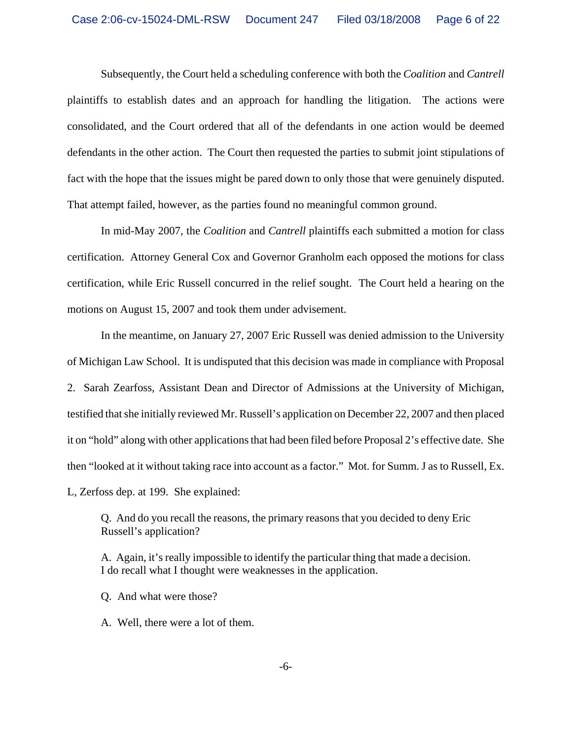Subsequently, the Court held a scheduling conference with both the *Coalition* and *Cantrell* plaintiffs to establish dates and an approach for handling the litigation. The actions were consolidated, and the Court ordered that all of the defendants in one action would be deemed defendants in the other action. The Court then requested the parties to submit joint stipulations of fact with the hope that the issues might be pared down to only those that were genuinely disputed. That attempt failed, however, as the parties found no meaningful common ground.

In mid-May 2007, the *Coalition* and *Cantrell* plaintiffs each submitted a motion for class certification. Attorney General Cox and Governor Granholm each opposed the motions for class certification, while Eric Russell concurred in the relief sought. The Court held a hearing on the motions on August 15, 2007 and took them under advisement.

In the meantime, on January 27, 2007 Eric Russell was denied admission to the University of Michigan Law School. It is undisputed that this decision was made in compliance with Proposal 2. Sarah Zearfoss, Assistant Dean and Director of Admissions at the University of Michigan, testified that she initially reviewed Mr. Russell's application on December 22, 2007 and then placed it on "hold" along with other applications that had been filed before Proposal 2's effective date. She then "looked at it without taking race into account as a factor." Mot. for Summ. J as to Russell, Ex. L, Zerfoss dep. at 199. She explained:

Q. And do you recall the reasons, the primary reasons that you decided to deny Eric Russell's application?

A. Again, it's really impossible to identify the particular thing that made a decision. I do recall what I thought were weaknesses in the application.

- Q. And what were those?
- A. Well, there were a lot of them.

-6-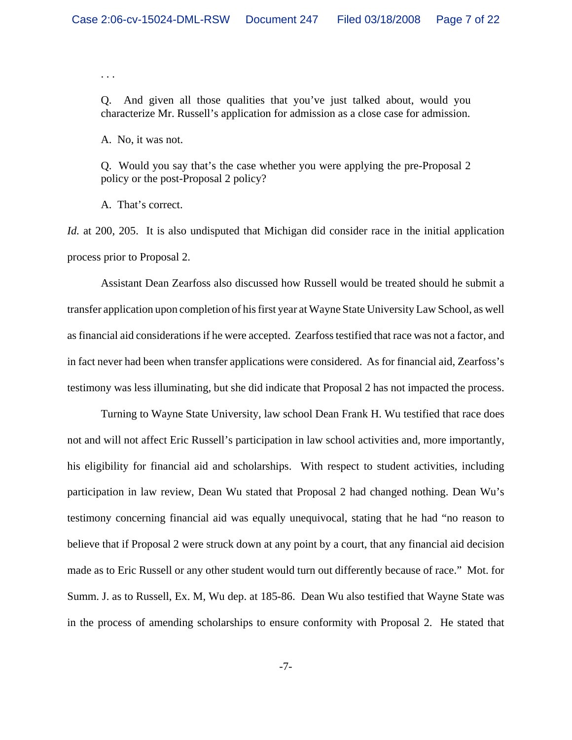. . .

Q. And given all those qualities that you've just talked about, would you characterize Mr. Russell's application for admission as a close case for admission.

A. No, it was not.

Q. Would you say that's the case whether you were applying the pre-Proposal 2 policy or the post-Proposal 2 policy?

A. That's correct.

*Id.* at 200, 205. It is also undisputed that Michigan did consider race in the initial application process prior to Proposal 2.

Assistant Dean Zearfoss also discussed how Russell would be treated should he submit a transfer application upon completion of his first year at Wayne State University Law School, as well as financial aid considerations if he were accepted. Zearfoss testified that race was not a factor, and in fact never had been when transfer applications were considered. As for financial aid, Zearfoss's testimony was less illuminating, but she did indicate that Proposal 2 has not impacted the process.

Turning to Wayne State University, law school Dean Frank H. Wu testified that race does not and will not affect Eric Russell's participation in law school activities and, more importantly, his eligibility for financial aid and scholarships. With respect to student activities, including participation in law review, Dean Wu stated that Proposal 2 had changed nothing. Dean Wu's testimony concerning financial aid was equally unequivocal, stating that he had "no reason to believe that if Proposal 2 were struck down at any point by a court, that any financial aid decision made as to Eric Russell or any other student would turn out differently because of race." Mot. for Summ. J. as to Russell, Ex. M, Wu dep. at 185-86. Dean Wu also testified that Wayne State was in the process of amending scholarships to ensure conformity with Proposal 2. He stated that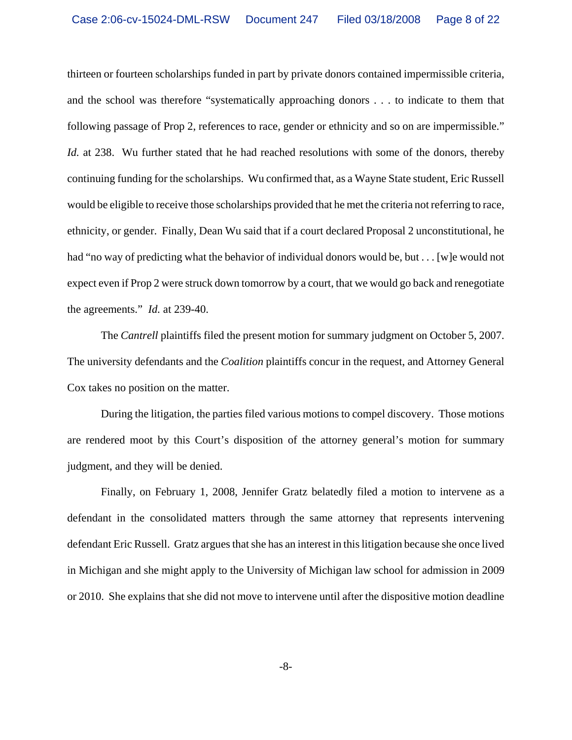thirteen or fourteen scholarships funded in part by private donors contained impermissible criteria, and the school was therefore "systematically approaching donors . . . to indicate to them that following passage of Prop 2, references to race, gender or ethnicity and so on are impermissible." *Id.* at 238. Wu further stated that he had reached resolutions with some of the donors, thereby continuing funding for the scholarships. Wu confirmed that, as a Wayne State student, Eric Russell would be eligible to receive those scholarships provided that he met the criteria not referring to race, ethnicity, or gender. Finally, Dean Wu said that if a court declared Proposal 2 unconstitutional, he had "no way of predicting what the behavior of individual donors would be, but . . . [w]e would not expect even if Prop 2 were struck down tomorrow by a court, that we would go back and renegotiate the agreements." *Id.* at 239-40.

The *Cantrell* plaintiffs filed the present motion for summary judgment on October 5, 2007. The university defendants and the *Coalition* plaintiffs concur in the request, and Attorney General Cox takes no position on the matter.

During the litigation, the parties filed various motions to compel discovery. Those motions are rendered moot by this Court's disposition of the attorney general's motion for summary judgment, and they will be denied.

Finally, on February 1, 2008, Jennifer Gratz belatedly filed a motion to intervene as a defendant in the consolidated matters through the same attorney that represents intervening defendant Eric Russell. Gratz argues that she has an interest in this litigation because she once lived in Michigan and she might apply to the University of Michigan law school for admission in 2009 or 2010. She explains that she did not move to intervene until after the dispositive motion deadline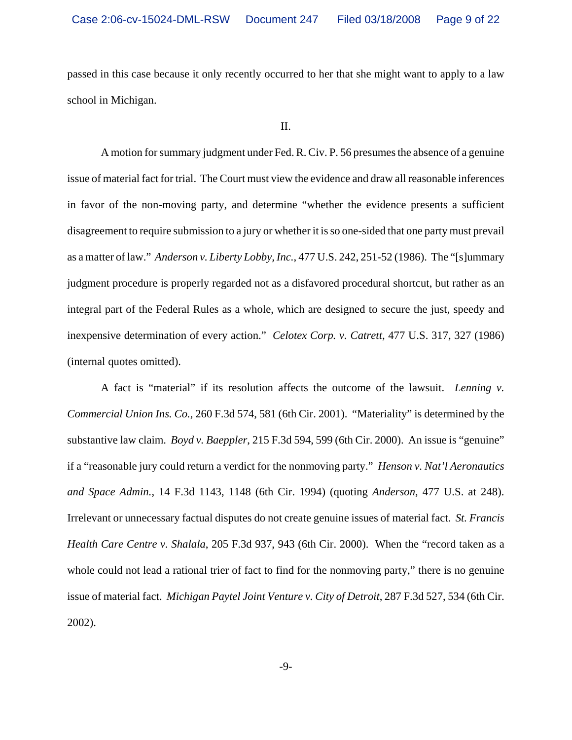passed in this case because it only recently occurred to her that she might want to apply to a law school in Michigan.

A motion for summary judgment under Fed. R. Civ. P. 56 presumes the absence of a genuine issue of material fact for trial. The Court must view the evidence and draw all reasonable inferences in favor of the non-moving party, and determine "whether the evidence presents a sufficient disagreement to require submission to a jury or whether it is so one-sided that one party must prevail as a matter of law." *Anderson v. Liberty Lobby, Inc.*, 477 U.S. 242, 251-52 (1986). The "[s]ummary judgment procedure is properly regarded not as a disfavored procedural shortcut, but rather as an integral part of the Federal Rules as a whole, which are designed to secure the just, speedy and inexpensive determination of every action." *Celotex Corp. v. Catrett*, 477 U.S. 317, 327 (1986) (internal quotes omitted).

A fact is "material" if its resolution affects the outcome of the lawsuit. *Lenning v. Commercial Union Ins. Co.*, 260 F.3d 574, 581 (6th Cir. 2001). "Materiality" is determined by the substantive law claim. *Boyd v. Baeppler*, 215 F.3d 594, 599 (6th Cir. 2000). An issue is "genuine" if a "reasonable jury could return a verdict for the nonmoving party." *Henson v. Nat'l Aeronautics and Space Admin.*, 14 F.3d 1143, 1148 (6th Cir. 1994) (quoting *Anderson*, 477 U.S. at 248). Irrelevant or unnecessary factual disputes do not create genuine issues of material fact. *St. Francis Health Care Centre v. Shalala*, 205 F.3d 937, 943 (6th Cir. 2000). When the "record taken as a whole could not lead a rational trier of fact to find for the nonmoving party," there is no genuine issue of material fact. *Michigan Paytel Joint Venture v. City of Detroit*, 287 F.3d 527, 534 (6th Cir. 2002).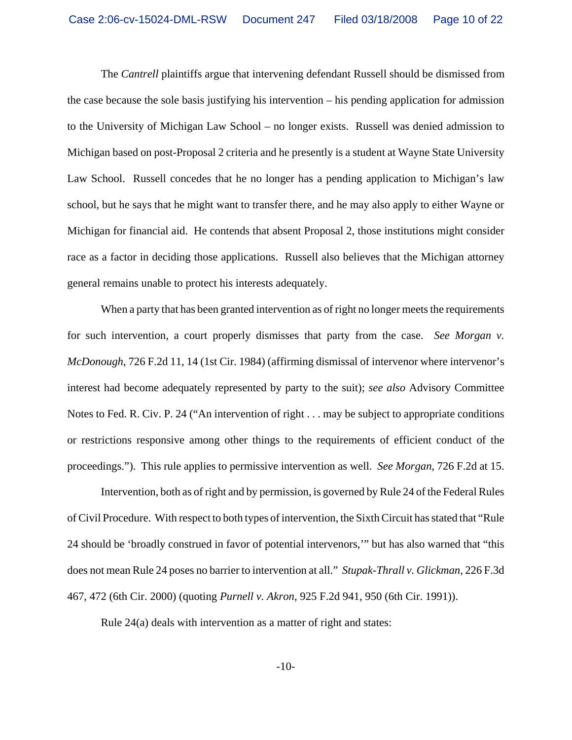The *Cantrell* plaintiffs argue that intervening defendant Russell should be dismissed from the case because the sole basis justifying his intervention – his pending application for admission to the University of Michigan Law School – no longer exists. Russell was denied admission to Michigan based on post-Proposal 2 criteria and he presently is a student at Wayne State University Law School. Russell concedes that he no longer has a pending application to Michigan's law school, but he says that he might want to transfer there, and he may also apply to either Wayne or Michigan for financial aid. He contends that absent Proposal 2, those institutions might consider race as a factor in deciding those applications. Russell also believes that the Michigan attorney general remains unable to protect his interests adequately.

When a party that has been granted intervention as of right no longer meets the requirements for such intervention, a court properly dismisses that party from the case. *See Morgan v. McDonough*, 726 F.2d 11, 14 (1st Cir. 1984) (affirming dismissal of intervenor where intervenor's interest had become adequately represented by party to the suit); *see also* Advisory Committee Notes to Fed. R. Civ. P. 24 ("An intervention of right . . . may be subject to appropriate conditions or restrictions responsive among other things to the requirements of efficient conduct of the proceedings."). This rule applies to permissive intervention as well. *See Morgan*, 726 F.2d at 15.

Intervention, both as of right and by permission, is governed by Rule 24 of the Federal Rules of Civil Procedure. With respect to both types of intervention, the Sixth Circuit has stated that "Rule 24 should be 'broadly construed in favor of potential intervenors,'" but has also warned that "this does not mean Rule 24 poses no barrier to intervention at all." *Stupak-Thrall v. Glickman*, 226 F.3d 467, 472 (6th Cir. 2000) (quoting *Purnell v. Akron*, 925 F.2d 941, 950 (6th Cir. 1991)).

Rule 24(a) deals with intervention as a matter of right and states: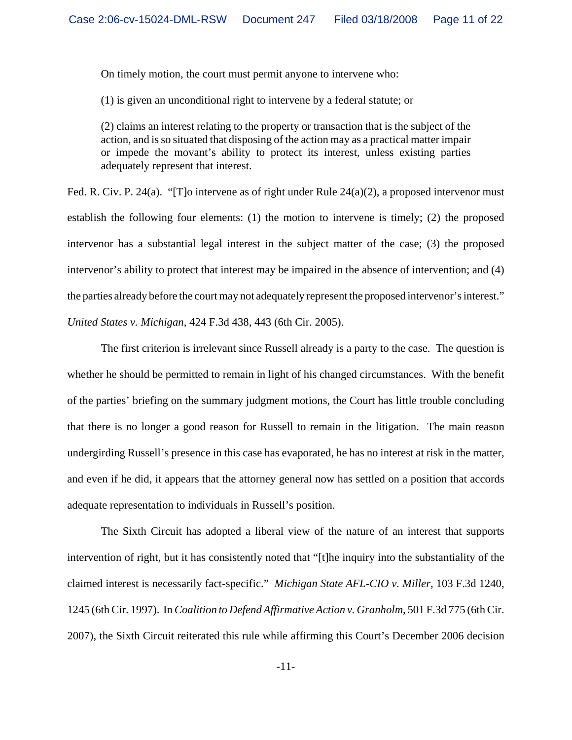On timely motion, the court must permit anyone to intervene who:

(1) is given an unconditional right to intervene by a federal statute; or

(2) claims an interest relating to the property or transaction that is the subject of the action, and is so situated that disposing of the action may as a practical matter impair or impede the movant's ability to protect its interest, unless existing parties adequately represent that interest.

Fed. R. Civ. P. 24(a). "[T]o intervene as of right under Rule  $24(a)(2)$ , a proposed intervenor must establish the following four elements: (1) the motion to intervene is timely; (2) the proposed intervenor has a substantial legal interest in the subject matter of the case; (3) the proposed intervenor's ability to protect that interest may be impaired in the absence of intervention; and (4) the parties already before the court may not adequately represent the proposed intervenor's interest." *United States v. Michigan*, 424 F.3d 438, 443 (6th Cir. 2005).

The first criterion is irrelevant since Russell already is a party to the case. The question is whether he should be permitted to remain in light of his changed circumstances. With the benefit of the parties' briefing on the summary judgment motions, the Court has little trouble concluding that there is no longer a good reason for Russell to remain in the litigation. The main reason undergirding Russell's presence in this case has evaporated, he has no interest at risk in the matter, and even if he did, it appears that the attorney general now has settled on a position that accords adequate representation to individuals in Russell's position.

The Sixth Circuit has adopted a liberal view of the nature of an interest that supports intervention of right, but it has consistently noted that "[t]he inquiry into the substantiality of the claimed interest is necessarily fact-specific." *Michigan State AFL-CIO v. Miller*, 103 F.3d 1240, 1245 (6th Cir. 1997). In *Coalition to Defend Affirmative Action v. Granholm*, 501 F.3d 775 (6th Cir. 2007), the Sixth Circuit reiterated this rule while affirming this Court's December 2006 decision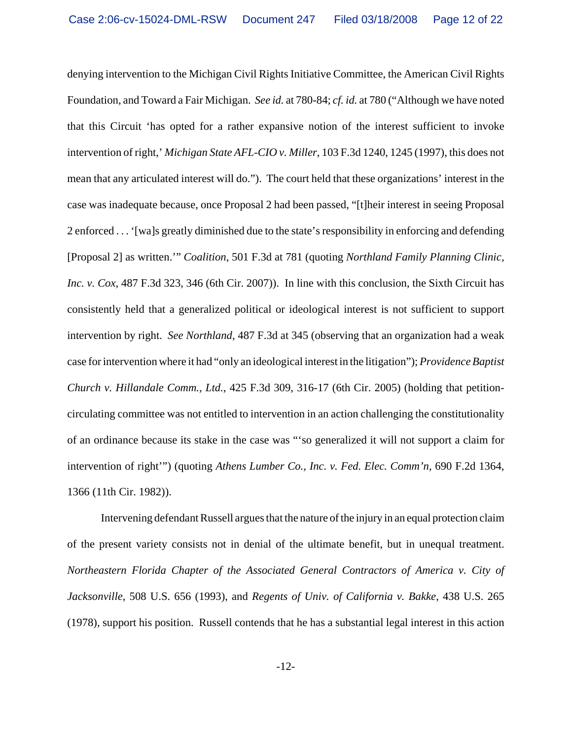denying intervention to the Michigan Civil Rights Initiative Committee, the American Civil Rights Foundation, and Toward a Fair Michigan. *See id.* at 780-84; *cf. id.* at 780 ("Although we have noted that this Circuit 'has opted for a rather expansive notion of the interest sufficient to invoke intervention of right,' *Michigan State AFL-CIO v. Miller*, 103 F.3d 1240, 1245 (1997), this does not mean that any articulated interest will do."). The court held that these organizations' interest in the case was inadequate because, once Proposal 2 had been passed, "[t]heir interest in seeing Proposal 2 enforced . . . '[wa]s greatly diminished due to the state's responsibility in enforcing and defending [Proposal 2] as written.'" *Coalition*, 501 F.3d at 781 (quoting *Northland Family Planning Clinic, Inc. v. Cox*, 487 F.3d 323, 346 (6th Cir. 2007)). In line with this conclusion, the Sixth Circuit has consistently held that a generalized political or ideological interest is not sufficient to support intervention by right. *See Northland*, 487 F.3d at 345 (observing that an organization had a weak case for intervention where it had "only an ideological interest in the litigation"); *Providence Baptist Church v. Hillandale Comm., Ltd.*, 425 F.3d 309, 316-17 (6th Cir. 2005) (holding that petitioncirculating committee was not entitled to intervention in an action challenging the constitutionality of an ordinance because its stake in the case was "'so generalized it will not support a claim for intervention of right'") (quoting *Athens Lumber Co., Inc. v. Fed. Elec. Comm'n*, 690 F.2d 1364, 1366 (11th Cir. 1982)).

Intervening defendant Russell argues that the nature of the injury in an equal protection claim of the present variety consists not in denial of the ultimate benefit, but in unequal treatment. *Northeastern Florida Chapter of the Associated General Contractors of America v. City of Jacksonville*, 508 U.S. 656 (1993), and *Regents of Univ. of California v. Bakke*, 438 U.S. 265 (1978), support his position. Russell contends that he has a substantial legal interest in this action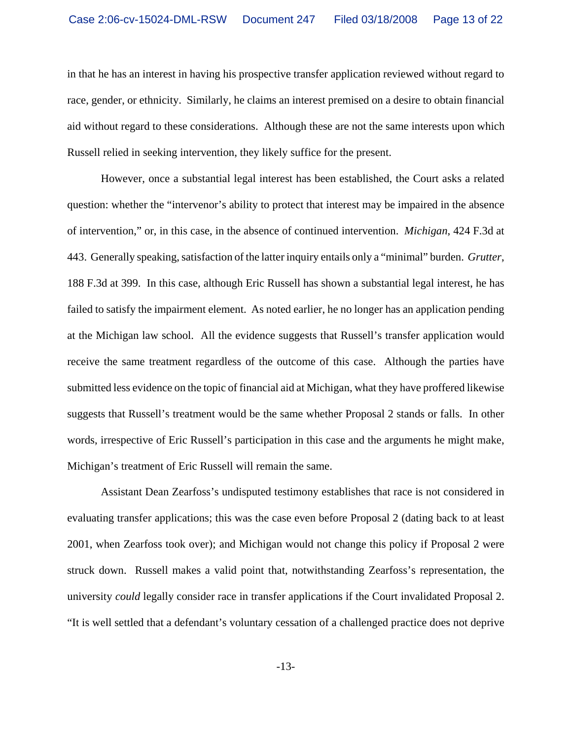in that he has an interest in having his prospective transfer application reviewed without regard to race, gender, or ethnicity. Similarly, he claims an interest premised on a desire to obtain financial aid without regard to these considerations. Although these are not the same interests upon which Russell relied in seeking intervention, they likely suffice for the present.

However, once a substantial legal interest has been established, the Court asks a related question: whether the "intervenor's ability to protect that interest may be impaired in the absence of intervention," or, in this case, in the absence of continued intervention. *Michigan*, 424 F.3d at 443. Generally speaking, satisfaction of the latter inquiry entails only a "minimal" burden. *Grutter*, 188 F.3d at 399. In this case, although Eric Russell has shown a substantial legal interest, he has failed to satisfy the impairment element. As noted earlier, he no longer has an application pending at the Michigan law school. All the evidence suggests that Russell's transfer application would receive the same treatment regardless of the outcome of this case. Although the parties have submitted less evidence on the topic of financial aid at Michigan, what they have proffered likewise suggests that Russell's treatment would be the same whether Proposal 2 stands or falls. In other words, irrespective of Eric Russell's participation in this case and the arguments he might make, Michigan's treatment of Eric Russell will remain the same.

Assistant Dean Zearfoss's undisputed testimony establishes that race is not considered in evaluating transfer applications; this was the case even before Proposal 2 (dating back to at least 2001, when Zearfoss took over); and Michigan would not change this policy if Proposal 2 were struck down. Russell makes a valid point that, notwithstanding Zearfoss's representation, the university *could* legally consider race in transfer applications if the Court invalidated Proposal 2. "It is well settled that a defendant's voluntary cessation of a challenged practice does not deprive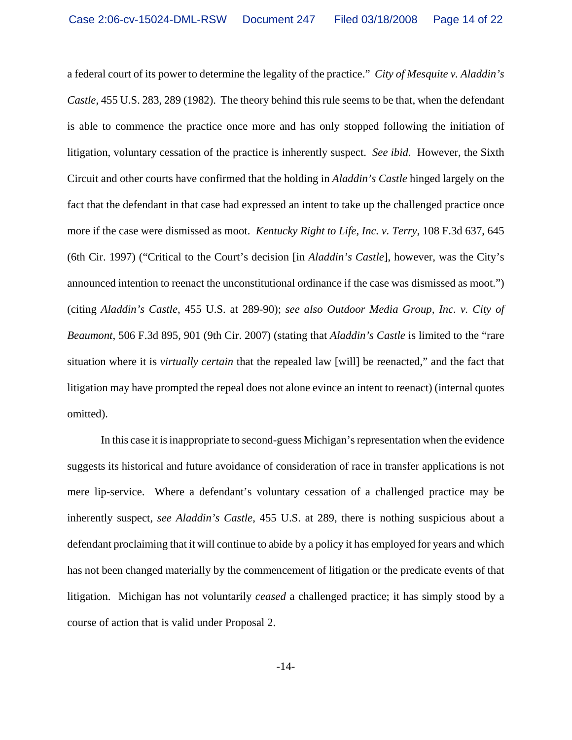a federal court of its power to determine the legality of the practice." *City of Mesquite v. Aladdin's Castle*, 455 U.S. 283, 289 (1982). The theory behind this rule seems to be that, when the defendant is able to commence the practice once more and has only stopped following the initiation of litigation, voluntary cessation of the practice is inherently suspect. *See ibid.* However, the Sixth Circuit and other courts have confirmed that the holding in *Aladdin's Castle* hinged largely on the fact that the defendant in that case had expressed an intent to take up the challenged practice once more if the case were dismissed as moot. *Kentucky Right to Life, Inc. v. Terry*, 108 F.3d 637, 645 (6th Cir. 1997) ("Critical to the Court's decision [in *Aladdin's Castle*], however, was the City's announced intention to reenact the unconstitutional ordinance if the case was dismissed as moot.") (citing *Aladdin's Castle*, 455 U.S. at 289-90); *see also Outdoor Media Group, Inc. v. City of Beaumont*, 506 F.3d 895, 901 (9th Cir. 2007) (stating that *Aladdin's Castle* is limited to the "rare situation where it is *virtually certain* that the repealed law [will] be reenacted," and the fact that litigation may have prompted the repeal does not alone evince an intent to reenact) (internal quotes omitted).

In this case it is inappropriate to second-guess Michigan's representation when the evidence suggests its historical and future avoidance of consideration of race in transfer applications is not mere lip-service. Where a defendant's voluntary cessation of a challenged practice may be inherently suspect, *see Aladdin's Castle*, 455 U.S. at 289, there is nothing suspicious about a defendant proclaiming that it will continue to abide by a policy it has employed for years and which has not been changed materially by the commencement of litigation or the predicate events of that litigation. Michigan has not voluntarily *ceased* a challenged practice; it has simply stood by a course of action that is valid under Proposal 2.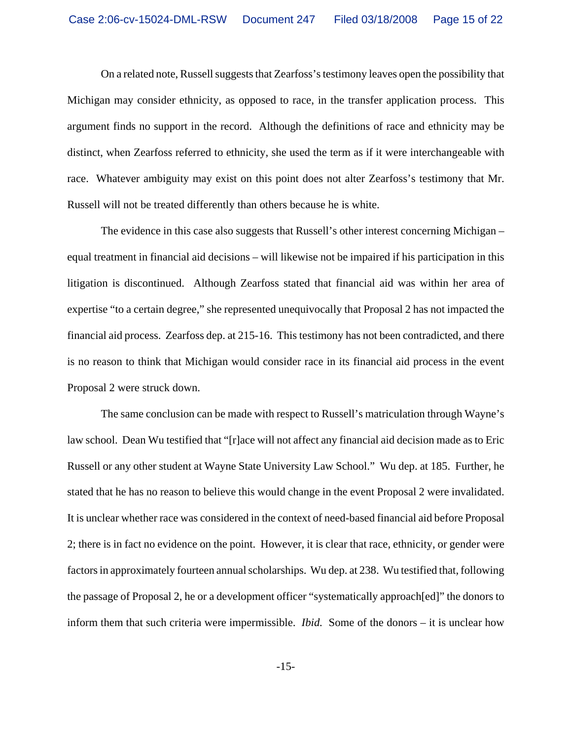On a related note, Russell suggests that Zearfoss's testimony leaves open the possibility that Michigan may consider ethnicity, as opposed to race, in the transfer application process. This argument finds no support in the record. Although the definitions of race and ethnicity may be distinct, when Zearfoss referred to ethnicity, she used the term as if it were interchangeable with race. Whatever ambiguity may exist on this point does not alter Zearfoss's testimony that Mr. Russell will not be treated differently than others because he is white.

The evidence in this case also suggests that Russell's other interest concerning Michigan – equal treatment in financial aid decisions – will likewise not be impaired if his participation in this litigation is discontinued. Although Zearfoss stated that financial aid was within her area of expertise "to a certain degree," she represented unequivocally that Proposal 2 has not impacted the financial aid process. Zearfoss dep. at 215-16. This testimony has not been contradicted, and there is no reason to think that Michigan would consider race in its financial aid process in the event Proposal 2 were struck down.

The same conclusion can be made with respect to Russell's matriculation through Wayne's law school. Dean Wu testified that "[r]ace will not affect any financial aid decision made as to Eric Russell or any other student at Wayne State University Law School." Wu dep. at 185. Further, he stated that he has no reason to believe this would change in the event Proposal 2 were invalidated. It is unclear whether race was considered in the context of need-based financial aid before Proposal 2; there is in fact no evidence on the point. However, it is clear that race, ethnicity, or gender were factors in approximately fourteen annual scholarships. Wu dep. at 238. Wu testified that, following the passage of Proposal 2, he or a development officer "systematically approach[ed]" the donors to inform them that such criteria were impermissible. *Ibid.* Some of the donors – it is unclear how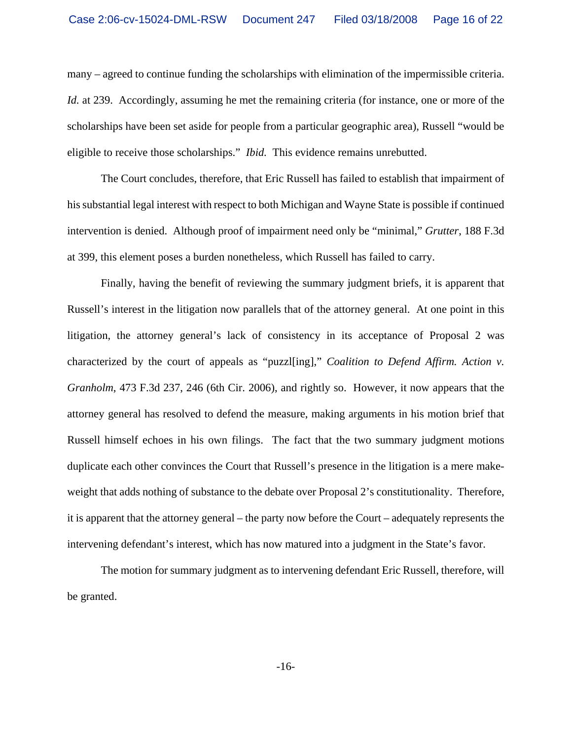many – agreed to continue funding the scholarships with elimination of the impermissible criteria. *Id.* at 239. Accordingly, assuming he met the remaining criteria (for instance, one or more of the scholarships have been set aside for people from a particular geographic area), Russell "would be eligible to receive those scholarships." *Ibid.* This evidence remains unrebutted.

The Court concludes, therefore, that Eric Russell has failed to establish that impairment of his substantial legal interest with respect to both Michigan and Wayne State is possible if continued intervention is denied. Although proof of impairment need only be "minimal," *Grutter*, 188 F.3d at 399, this element poses a burden nonetheless, which Russell has failed to carry.

Finally, having the benefit of reviewing the summary judgment briefs, it is apparent that Russell's interest in the litigation now parallels that of the attorney general. At one point in this litigation, the attorney general's lack of consistency in its acceptance of Proposal 2 was characterized by the court of appeals as "puzzl[ing]," *Coalition to Defend Affirm. Action v. Granholm*, 473 F.3d 237, 246 (6th Cir. 2006), and rightly so. However, it now appears that the attorney general has resolved to defend the measure, making arguments in his motion brief that Russell himself echoes in his own filings. The fact that the two summary judgment motions duplicate each other convinces the Court that Russell's presence in the litigation is a mere makeweight that adds nothing of substance to the debate over Proposal 2's constitutionality. Therefore, it is apparent that the attorney general – the party now before the Court – adequately represents the intervening defendant's interest, which has now matured into a judgment in the State's favor.

The motion for summary judgment as to intervening defendant Eric Russell, therefore, will be granted.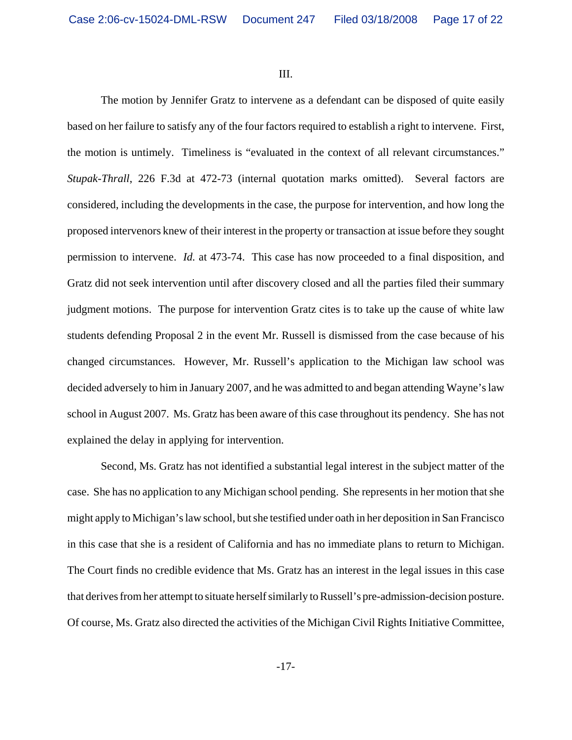III.

The motion by Jennifer Gratz to intervene as a defendant can be disposed of quite easily based on her failure to satisfy any of the four factors required to establish a right to intervene. First, the motion is untimely. Timeliness is "evaluated in the context of all relevant circumstances." *Stupak-Thrall*, 226 F.3d at 472-73 (internal quotation marks omitted). Several factors are considered, including the developments in the case, the purpose for intervention, and how long the proposed intervenors knew of their interest in the property or transaction at issue before they sought permission to intervene. *Id.* at 473-74. This case has now proceeded to a final disposition, and Gratz did not seek intervention until after discovery closed and all the parties filed their summary judgment motions. The purpose for intervention Gratz cites is to take up the cause of white law students defending Proposal 2 in the event Mr. Russell is dismissed from the case because of his changed circumstances. However, Mr. Russell's application to the Michigan law school was decided adversely to him in January 2007, and he was admitted to and began attending Wayne's law school in August 2007. Ms. Gratz has been aware of this case throughout its pendency. She has not explained the delay in applying for intervention.

Second, Ms. Gratz has not identified a substantial legal interest in the subject matter of the case. She has no application to any Michigan school pending. She represents in her motion that she might apply to Michigan's law school, but she testified under oath in her deposition in San Francisco in this case that she is a resident of California and has no immediate plans to return to Michigan. The Court finds no credible evidence that Ms. Gratz has an interest in the legal issues in this case that derives from her attempt to situate herself similarly to Russell's pre-admission-decision posture. Of course, Ms. Gratz also directed the activities of the Michigan Civil Rights Initiative Committee,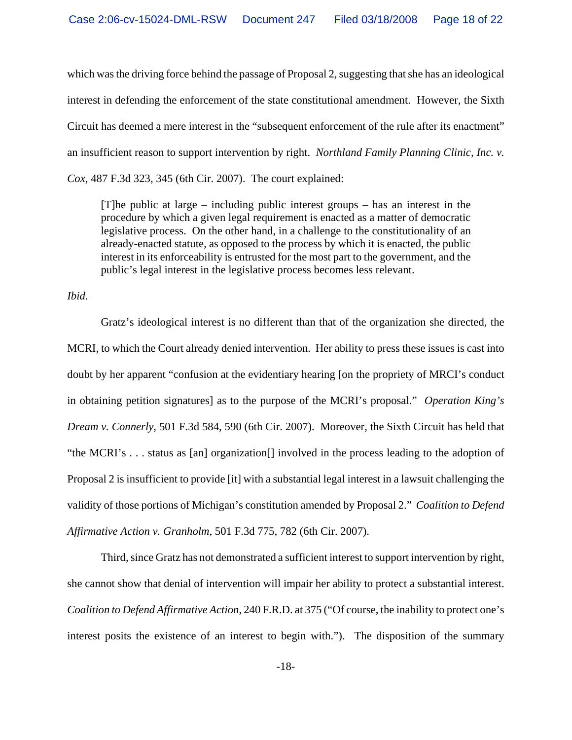which was the driving force behind the passage of Proposal 2, suggesting that she has an ideological interest in defending the enforcement of the state constitutional amendment. However, the Sixth Circuit has deemed a mere interest in the "subsequent enforcement of the rule after its enactment" an insufficient reason to support intervention by right. *Northland Family Planning Clinic, Inc. v. Cox*, 487 F.3d 323, 345 (6th Cir. 2007). The court explained:

[T]he public at large – including public interest groups – has an interest in the procedure by which a given legal requirement is enacted as a matter of democratic legislative process. On the other hand, in a challenge to the constitutionality of an already-enacted statute, as opposed to the process by which it is enacted, the public interest in its enforceability is entrusted for the most part to the government, and the public's legal interest in the legislative process becomes less relevant.

*Ibid.*

Gratz's ideological interest is no different than that of the organization she directed, the MCRI, to which the Court already denied intervention. Her ability to press these issues is cast into doubt by her apparent "confusion at the evidentiary hearing [on the propriety of MRCI's conduct in obtaining petition signatures] as to the purpose of the MCRI's proposal." *Operation King's Dream v. Connerly*, 501 F.3d 584, 590 (6th Cir. 2007). Moreover, the Sixth Circuit has held that "the MCRI's . . . status as [an] organization[] involved in the process leading to the adoption of Proposal 2 is insufficient to provide [it] with a substantial legal interest in a lawsuit challenging the validity of those portions of Michigan's constitution amended by Proposal 2." *Coalition to Defend Affirmative Action v. Granholm*, 501 F.3d 775, 782 (6th Cir. 2007).

Third, since Gratz has not demonstrated a sufficient interest to support intervention by right, she cannot show that denial of intervention will impair her ability to protect a substantial interest. *Coalition to Defend Affirmative Action*, 240 F.R.D. at 375 ("Of course, the inability to protect one's interest posits the existence of an interest to begin with."). The disposition of the summary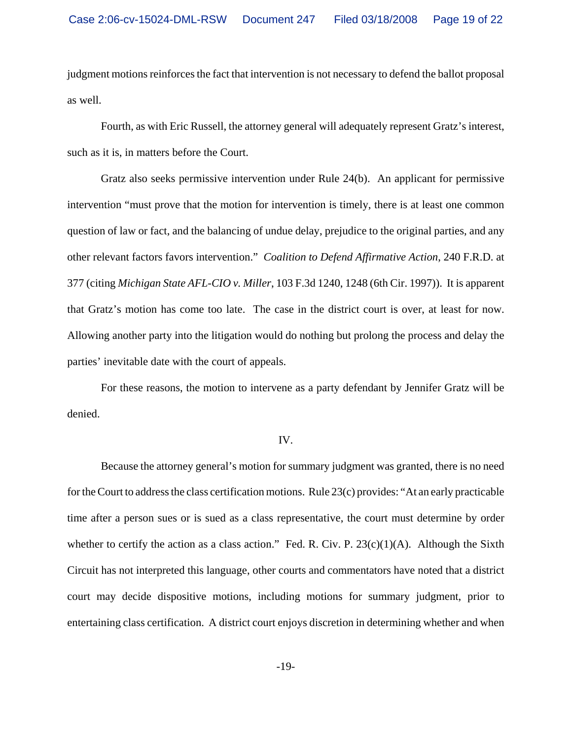judgment motions reinforces the fact that intervention is not necessary to defend the ballot proposal as well.

Fourth, as with Eric Russell, the attorney general will adequately represent Gratz's interest, such as it is, in matters before the Court.

Gratz also seeks permissive intervention under Rule 24(b). An applicant for permissive intervention "must prove that the motion for intervention is timely, there is at least one common question of law or fact, and the balancing of undue delay, prejudice to the original parties, and any other relevant factors favors intervention." *Coalition to Defend Affirmative Action*, 240 F.R.D. at 377 (citing *Michigan State AFL-CIO v. Miller*, 103 F.3d 1240, 1248 (6th Cir. 1997)). It is apparent that Gratz's motion has come too late. The case in the district court is over, at least for now. Allowing another party into the litigation would do nothing but prolong the process and delay the parties' inevitable date with the court of appeals.

For these reasons, the motion to intervene as a party defendant by Jennifer Gratz will be denied.

#### IV.

Because the attorney general's motion for summary judgment was granted, there is no need for the Court to address the class certification motions. Rule 23(c) provides: "At an early practicable time after a person sues or is sued as a class representative, the court must determine by order whether to certify the action as a class action." Fed. R. Civ. P.  $23(c)(1)(A)$ . Although the Sixth Circuit has not interpreted this language, other courts and commentators have noted that a district court may decide dispositive motions, including motions for summary judgment, prior to entertaining class certification. A district court enjoys discretion in determining whether and when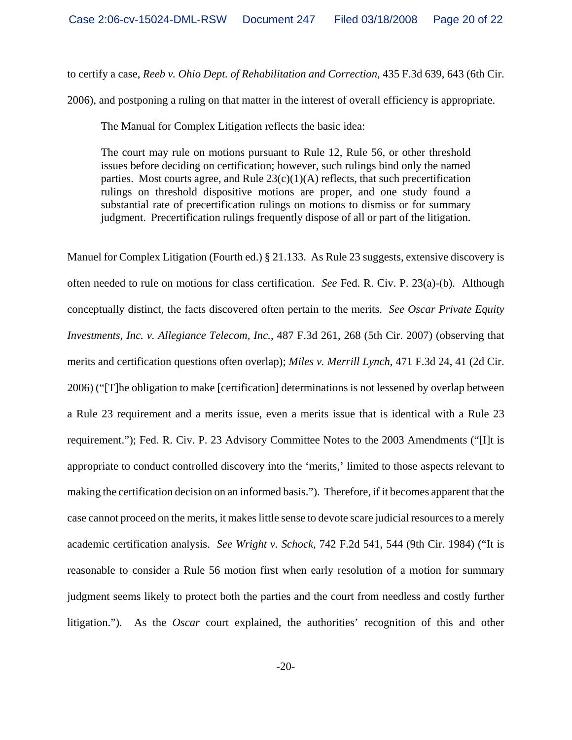to certify a case, *Reeb v. Ohio Dept. of Rehabilitation and Correction*, 435 F.3d 639, 643 (6th Cir.

2006), and postponing a ruling on that matter in the interest of overall efficiency is appropriate.

The Manual for Complex Litigation reflects the basic idea:

The court may rule on motions pursuant to Rule 12, Rule 56, or other threshold issues before deciding on certification; however, such rulings bind only the named parties. Most courts agree, and Rule  $23(c)(1)(A)$  reflects, that such precertification rulings on threshold dispositive motions are proper, and one study found a substantial rate of precertification rulings on motions to dismiss or for summary judgment. Precertification rulings frequently dispose of all or part of the litigation.

Manuel for Complex Litigation (Fourth ed.) § 21.133. As Rule 23 suggests, extensive discovery is often needed to rule on motions for class certification. *See* Fed. R. Civ. P. 23(a)-(b). Although conceptually distinct, the facts discovered often pertain to the merits. *See Oscar Private Equity Investments, Inc. v. Allegiance Telecom, Inc.*, 487 F.3d 261, 268 (5th Cir. 2007) (observing that merits and certification questions often overlap); *Miles v. Merrill Lynch*, 471 F.3d 24, 41 (2d Cir. 2006) ("[T]he obligation to make [certification] determinations is not lessened by overlap between a Rule 23 requirement and a merits issue, even a merits issue that is identical with a Rule 23 requirement."); Fed. R. Civ. P. 23 Advisory Committee Notes to the 2003 Amendments ("[I]t is appropriate to conduct controlled discovery into the 'merits,' limited to those aspects relevant to making the certification decision on an informed basis."). Therefore, if it becomes apparent that the case cannot proceed on the merits, it makes little sense to devote scare judicial resources to a merely academic certification analysis. *See Wright v. Schock*, 742 F.2d 541, 544 (9th Cir. 1984) ("It is reasonable to consider a Rule 56 motion first when early resolution of a motion for summary judgment seems likely to protect both the parties and the court from needless and costly further litigation."). As the *Oscar* court explained, the authorities' recognition of this and other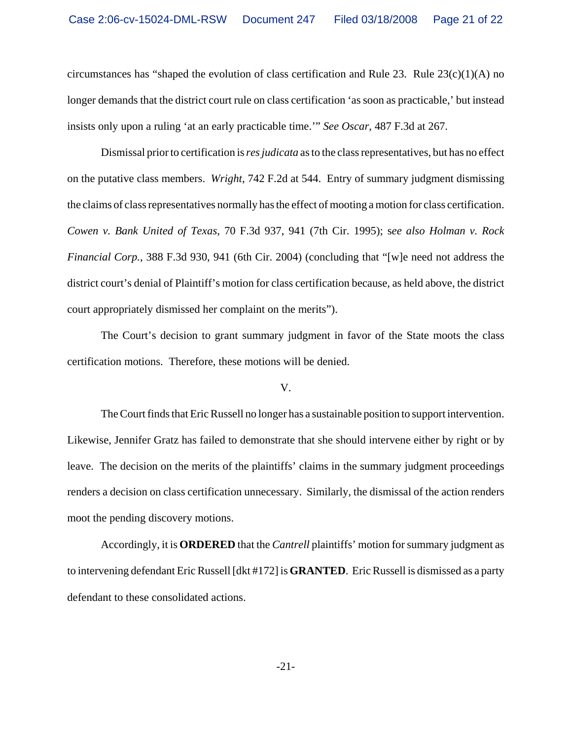circumstances has "shaped the evolution of class certification and Rule 23. Rule  $23(c)(1)(A)$  no longer demands that the district court rule on class certification 'as soon as practicable,' but instead insists only upon a ruling 'at an early practicable time.'" *See Oscar*, 487 F.3d at 267.

Dismissal prior to certification is *res judicata* as to the class representatives, but has no effect on the putative class members. *Wright*, 742 F.2d at 544. Entry of summary judgment dismissing the claims of class representatives normally has the effect of mooting a motion for class certification. *Cowen v. Bank United of Texas*, 70 F.3d 937, 941 (7th Cir. 1995); s*ee also Holman v. Rock Financial Corp.*, 388 F.3d 930, 941 (6th Cir. 2004) (concluding that "[w]e need not address the district court's denial of Plaintiff's motion for class certification because, as held above, the district court appropriately dismissed her complaint on the merits").

The Court's decision to grant summary judgment in favor of the State moots the class certification motions. Therefore, these motions will be denied.

## V.

The Court finds that Eric Russell no longer has a sustainable position to support intervention. Likewise, Jennifer Gratz has failed to demonstrate that she should intervene either by right or by leave. The decision on the merits of the plaintiffs' claims in the summary judgment proceedings renders a decision on class certification unnecessary. Similarly, the dismissal of the action renders moot the pending discovery motions.

Accordingly, it is **ORDERED** that the *Cantrell* plaintiffs' motion for summary judgment as to intervening defendant Eric Russell [dkt #172] is **GRANTED**. Eric Russell is dismissed as a party defendant to these consolidated actions.